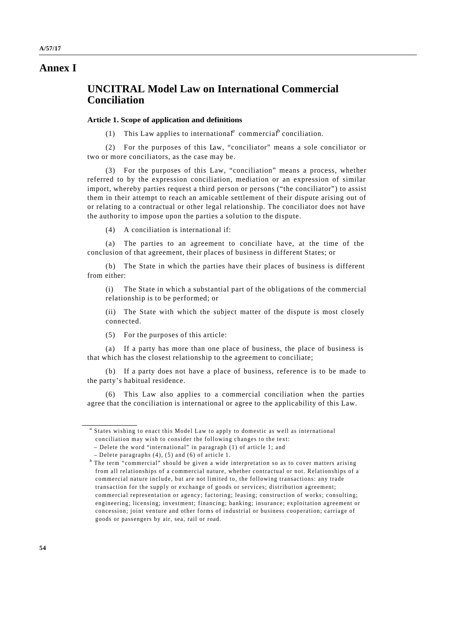## **Annex I**

# **UNCITRAL Model Law on International Commercial Conciliation**

## **Article 1. Scope of application and definitions**

(1) This Law applies to international<sup>*a*</sup> commercial<sup>*b*</sup> conciliation.

(2) For the purposes of this Law, "conciliator" means a sole conciliator or two or more conciliators, as the case may be.

(3) For the purposes of this Law, "conciliation" means a process, whether referred to by the expression conciliation, mediation or an expression of similar import, whereby parties request a third person or persons ("the conciliator") to assist them in their attempt to reach an amicable settlement of their dispute arising out of or relating to a contractual or other legal relationship. The conciliator does not have the authority to impose upon the parties a solution to the dispute.

(4) A conciliation is international if:

(a) The parties to an agreement to conciliate have, at the time of the conclusion of that agreement, their places of business in different States; or

(b) The State in which the parties have their places of business is different from either:

(i) The State in which a substantial part of the obligations of the commercial relationship is to be performed; or

(ii) The State with which the subject matter of the dispute is most closely connected.

(5) For the purposes of this article:

(a) If a party has more than one place of business, the place of business is that which has the closest relationship to the agreement to conciliate;

(b) If a party does not have a place of business, reference is to be made to the party's habitual residence.

(6) This Law also applies to a commercial conciliation when the parties agree that the conciliation is international or agree to the applicability of this Law.

*a* States wishing to enact this Model Law to apply to domestic as well as international conciliation may wish to consider the following changes to the text:

 <sup>–</sup> Delete the word "international" in paragraph (1) of article 1; and

 <sup>–</sup> Delete paragraphs (4), (5) and (6) of article 1.

*b* The term "commercial" should be given a wide interpretation so as to cover matters arising from all relationships of a commercial nature, whether contractual or not. Relationships of a commercial nature include, but are not limited to, the following transactions: any trade transaction for the supply or exchange of goods or services; distribution agreement; commercial representation or agency; factoring; leasing; construction of works; consulting; engineering; licensing; investment; financing; banking; insurance; exploitation agreement or concession; joint venture and other forms of industrial or business cooperation; carriage of goods or passengers by air, sea, rail or road.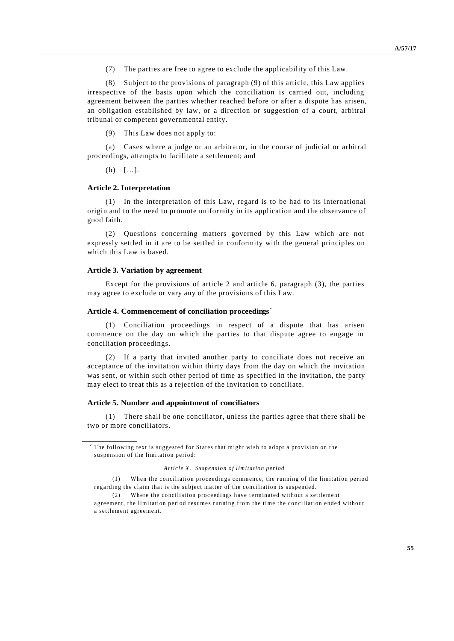(7) The parties are free to agree to exclude the applicability of this Law.

Subject to the provisions of paragraph (9) of this article, this Law applies irrespective of the basis upon which the conciliation is carried out, including agreement between the parties whether reached before or after a dispute has arisen, an obligation established by law, or a direction or suggestion of a court, arbitral tribunal or competent governmental entity.

(9) This Law does not apply to:

(a) Cases where a judge or an arbitrator, in the course of judicial or arbitral proceedings, attempts to facilitate a settlement; and

(b) […].

#### **Article 2. Interpretation**

(1) In the interpretation of this Law, regard is to be had to its international origin and to the need to promote uniformity in its application and the observance of good faith.

(2) Questions concerning matters governed by this Law which are not expressly settled in it are to be settled in conformity with the general principles on which this Law is based.

### **Article 3. Variation by agreement**

Except for the provisions of article 2 and article 6, paragraph (3), the parties may agree to exclude or vary any of the provisions of this Law.

#### **Article 4. Commencement of conciliation proceedings***<sup>c</sup>*

(1) Conciliation proceedings in respect of a dispute that has arisen commence on the day on which the parties to that dispute agree to engage in conciliation proceedings.

(2) If a party that invited another party to conciliate does not receive an acceptance of the invitation within thirty days from the day on which the invitation was sent, or within such other period of time as specified in the invitation, the party may elect to treat this as a rejection of the invitation to conciliate.

#### **Article 5. Number and appointment of conciliators**

(1) There shall be one conciliator, unless the parties agree that there shall be two or more conciliators.

#### *Article X. Suspension of limitation period*

*c* The following text is suggested for States that might wish to adopt a provision on the suspension of the limitation period:

<sup>(1)</sup> When the conciliation proceedings commence, the running of the limitation period regarding the claim that is the subject matter of the conciliation is suspended.

<sup>(2)</sup> Where the conciliation proceedings have terminated without a settlement

agreement, the limitation period resumes running from the time the conciliation ended without a settlement agreement.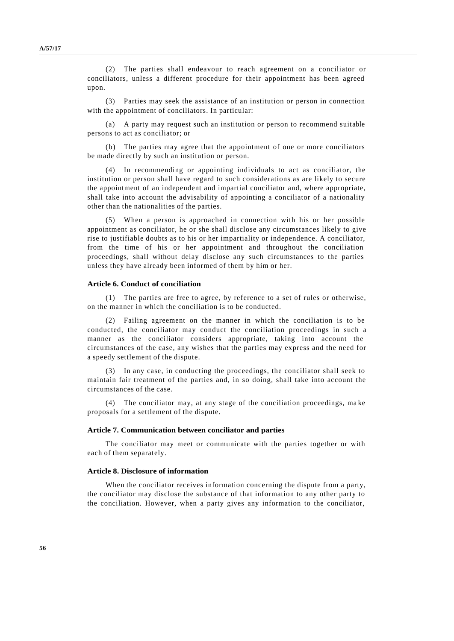(2) The parties shall endeavour to reach agreement on a conciliator or conciliators, unless a different procedure for their appointment has been agreed upon.

(3) Parties may seek the assistance of an institution or person in connection with the appointment of conciliators. In particular:

(a) A party may request such an institution or person to recommend suitable persons to act as conciliator; or

(b) The parties may agree that the appointment of one or more conciliators be made directly by such an institution or person.

(4) In recommending or appointing individuals to act as conciliator, the institution or person shall have regard to such considerations as are likely to secure the appointment of an independent and impartial conciliator and, where appropriate, shall take into account the advisability of appointing a conciliator of a nationality other than the nationalities of the parties.

(5) When a person is approached in connection with his or her possible appointment as conciliator, he or she shall disclose any circumstances likely to give rise to justifiable doubts as to his or her impartiality or independence. A conciliator, from the time of his or her appointment and throughout the conciliation proceedings, shall without delay disclose any such circumstances to the parties unless they have already been informed of them by him or her.

#### **Article 6. Conduct of conciliation**

(1) The parties are free to agree, by reference to a set of rules or otherwise, on the manner in which the conciliation is to be conducted.

(2) Failing agreement on the manner in which the conciliation is to be conducted, the conciliator may conduct the conciliation proceedings in such a manner as the conciliator considers appropriate, taking into account the circumstances of the case, any wishes that the parties may express and the need for a speedy settlement of the dispute.

(3) In any case, in conducting the proceedings, the conciliator shall seek to maintain fair treatment of the parties and, in so doing, shall take into account the circumstances of the case.

(4) The conciliator may, at any stage of the conciliation proceedings, ma ke proposals for a settlement of the dispute.

#### **Article 7. Communication between conciliator and parties**

The conciliator may meet or communicate with the parties together or with each of them separately.

#### **Article 8. Disclosure of information**

When the conciliator receives information concerning the dispute from a party, the conciliator may disclose the substance of that information to any other party to the conciliation. However, when a party gives any information to the conciliator,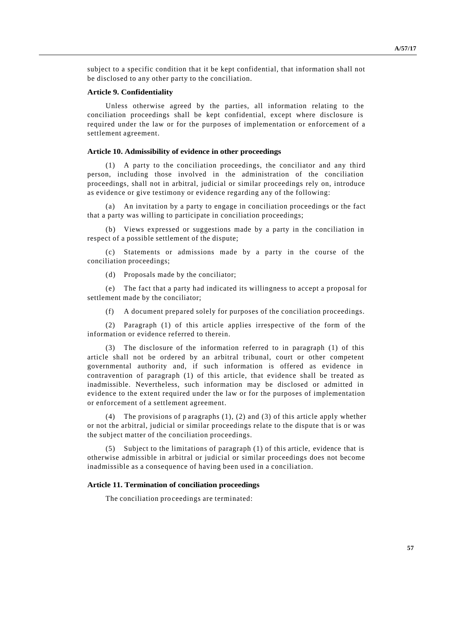subject to a specific condition that it be kept confidential, that information shall not be disclosed to any other party to the conciliation.

#### **Article 9. Confidentiality**

Unless otherwise agreed by the parties, all information relating to the conciliation proceedings shall be kept confidential, except where disclosure is required under the law or for the purposes of implementation or enforcement of a settlement agreement.

#### **Article 10. Admissibility of evidence in other proceedings**

(1) A party to the conciliation proceedings, the conciliator and any third person, including those involved in the administration of the conciliation proceedings, shall not in arbitral, judicial or similar proceedings rely on, introduce as evidence or give testimony or evidence regarding any of the following:

(a) An invitation by a party to engage in conciliation proceedings or the fact that a party was willing to participate in conciliation proceedings;

(b) Views expressed or suggestions made by a party in the conciliation in respect of a possible settlement of the dispute;

Statements or admissions made by a party in the course of the conciliation proceedings;

(d) Proposals made by the conciliator;

(e) The fact that a party had indicated its willingness to accept a proposal for settlement made by the conciliator;

(f) A document prepared solely for purposes of the conciliation proceedings.

(2) Paragraph (1) of this article applies irrespective of the form of the information or evidence referred to therein.

The disclosure of the information referred to in paragraph  $(1)$  of this article shall not be ordered by an arbitral tribunal, court or other competent governmental authority and, if such information is offered as evidence in contravention of paragraph (1) of this article, that evidence shall be treated as inadmissible. Nevertheless, such information may be disclosed or admitted in evidence to the extent required under the law or for the purposes of implementation or enforcement of a settlement agreement.

(4) The provisions of p aragraphs (1), (2) and (3) of this article apply whether or not the arbitral, judicial or similar proceedings relate to the dispute that is or was the subject matter of the conciliation proceedings.

(5) Subject to the limitations of paragraph (1) of this article, evidence that is otherwise admissible in arbitral or judicial or similar proceedings does not become inadmissible as a consequence of having been used in a conciliation.

#### **Article 11. Termination of conciliation proceedings**

The conciliation pro ceedings are terminated: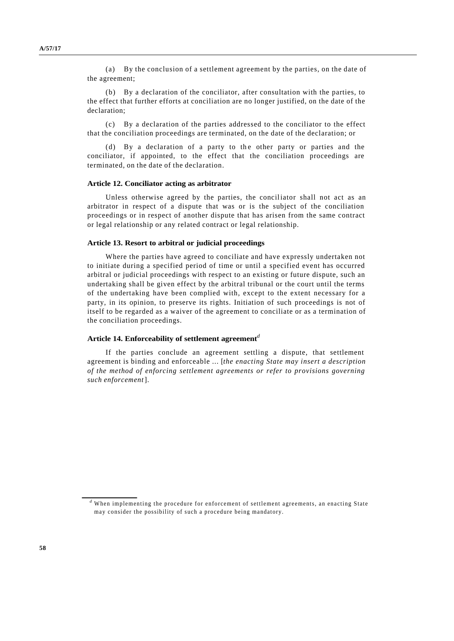(a) By the conclusion of a settlement agreement by the parties, on the date of the agreement;

(b) By a declaration of the conciliator, after consultation with the parties, to the effect that further efforts at conciliation are no longer justified, on the date of the declaration;

(c) By a declaration of the parties addressed to the conciliator to the effect that the conciliation proceedings are terminated, on the date of the declaration; or

(d) By a declaration of a party to the other party or parties and the conciliator, if appointed, to the effect that the conciliation proceedings are terminated, on the date of the declaration.

#### **Article 12. Conciliator acting as arbitrator**

Unless otherwise agreed by the parties, the conciliator shall not act as an arbitrator in respect of a dispute that was or is the subject of the conciliation proceedings or in respect of another dispute that has arisen from the same contract or legal relationship or any related contract or legal relationship.

#### **Article 13. Resort to arbitral or judicial proceedings**

Where the parties have agreed to conciliate and have expressly undertaken not to initiate during a specified period of time or until a specified event has occurred arbitral or judicial proceedings with respect to an existing or future dispute, such an undertaking shall be given effect by the arbitral tribunal or the court until the terms of the undertaking have been complied with, except to the extent necessary for a party, in its opinion, to preserve its rights. Initiation of such proceedings is not of itself to be regarded as a waiver of the agreement to conciliate or as a termination of the conciliation proceedings.

#### **Article 14. Enforceability of settlement agreement***<sup>d</sup>*

If the parties conclude an agreement settling a dispute, that settlement agreement is binding and enforceable ... [*the enacting State may insert a description of the method of enforcing settlement agreements or refer to provisions governing such enforcement*].

*<sup>d</sup>* When implementing the procedure for enforcement of settlement agreements, an enacting State may consider the possibility of such a procedure being mandatory.